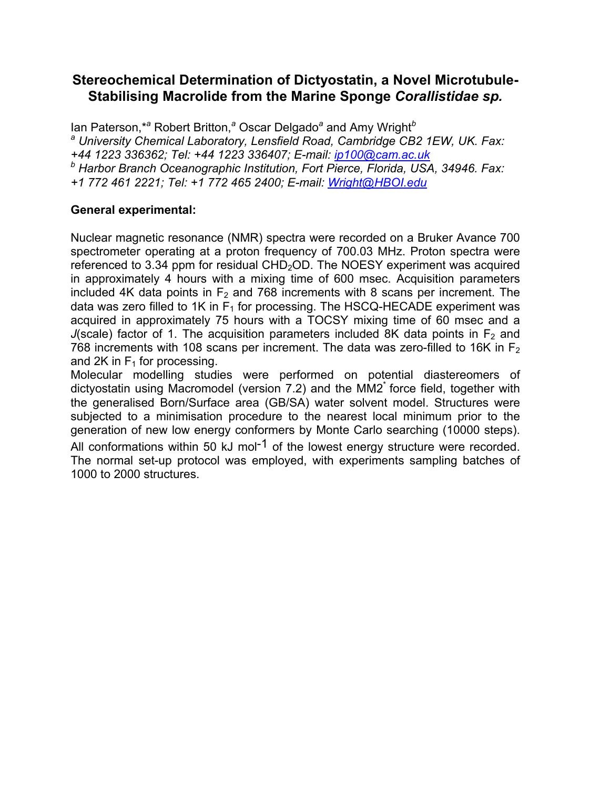## **Stereochemical Determination of Dictyostatin, a Novel Microtubule-Stabilising Macrolide from the Marine Sponge** *Corallistidae sp.*

lan Paterson,\*<sup>a</sup> Robert Britton,<sup>a</sup> Oscar Delgado<sup>a</sup> and Amy Wright<sup>b</sup> <sup>a</sup> University Chemical Laboratory, Lensfield Road, Cambridge CB2 1EW, UK. Fax:<br>+44 1223 336362; Tel: +44 1223 336407; E-mail: <u>ip100@cam.ac.uk</u> *+44 1223 336362; Tel: +44 1223 336407; E-mail: ip100@cam.ac.uk <sup>b</sup> Harbor Branch Oceanographic Institution, Fort Pierce, Florida, USA, 34946. Fax: +1 772 461 2221; Tel: +1 772 465 2400; E-mail: Wright@HBOI.edu*

#### **General experimental:**

Nuclear magnetic resonance (NMR) spectra were recorded on a Bruker Avance 700 spectrometer operating at a proton frequency of 700.03 MHz. Proton spectra were referenced to 3.34 ppm for residual  $CHD<sub>2</sub>OD$ . The NOESY experiment was acquired in approximately 4 hours with a mixing time of 600 msec. Acquisition parameters included 4K data points in  $F<sub>2</sub>$  and 768 increments with 8 scans per increment. The data was zero filled to 1K in  $F_1$  for processing. The HSCQ-HECADE experiment was acquired in approximately 75 hours with a TOCSY mixing time of 60 msec and a *J*(scale) factor of 1. The acquisition parameters included 8K data points in  $F<sub>2</sub>$  and  $768$  increments with 108 scans per increment. The data was zero-filled to 16K in F<sub>2</sub> and 2K in  $F_1$  for processing.

Molecular modelling studies were performed on potential diastereomers of dictyostatin using Macromodel (version 7.2) and the MM2\* force field, together with the generalised Born/Surface area (GB/SA) water solvent model. Structures were subjected to a minimisation procedure to the nearest local minimum prior to the generation of new low energy conformers by Monte Carlo searching (10000 steps). All conformations within 50 kJ mol<sup>-1</sup> of the lowest energy structure were recorded. The normal set-up protocol was employed, with experiments sampling batches of 1000 to 2000 structures.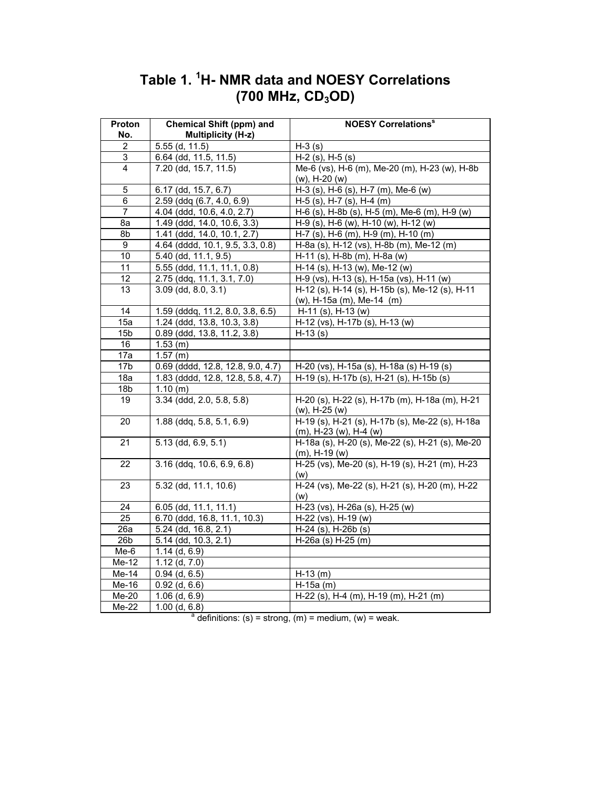| Proton<br>No.              | <b>Chemical Shift (ppm) and</b><br><b>Multiplicity (H-z)</b> | <b>NOESY Correlations®</b>                                                |
|----------------------------|--------------------------------------------------------------|---------------------------------------------------------------------------|
| $\overline{2}$             | 5.55 (d, 11.5)                                               | $H-3$ (s)                                                                 |
| 3                          | 6.64 (dd, 11.5, 11.5)                                        | $H-2$ (s), $H-5$ (s)                                                      |
| 4                          | 7.20 (dd, 15.7, 11.5)                                        | Me-6 (vs), H-6 (m), Me-20 (m), H-23 (w), H-8b                             |
|                            |                                                              | (w), H-20 (w)                                                             |
| 5                          | 6.17 (dd, 15.7, 6.7)                                         | H-3 (s), H-6 (s), H-7 (m), Me-6 (w)                                       |
| 6                          | 2.59 (ddq (6.7, 4.0, 6.9)                                    | H-5 (s), H-7 (s), H-4 (m)                                                 |
| 7                          | 4.04 (ddd, 10.6, 4.0, 2.7)                                   | H-6 (s), H-8b (s), H-5 (m), Me-6 (m), H-9 (w)                             |
| 8а                         | 1.49 (ddd, 14.0, 10.6, 3.3)                                  | H-9 (s), H-6 (w), H-10 (w), H-12 (w)                                      |
| 8b                         | 1.41 (ddd, 14.0, 10.1, 2.7)                                  | H-7 (s), H-6 (m), H-9 (m), H-10 (m)                                       |
| 9                          | 4.64 (dddd, 10.1, 9.5, 3.3, 0.8)                             | H-8a (s), H-12 (vs), H-8b (m), Me-12 (m)                                  |
| 10                         | 5.40 (dd, 11.1, 9.5)                                         | H-11 (s), H-8b (m), H-8a (w)                                              |
| 11                         | 5.55 (ddd, 11.1, 11.1, 0.8)                                  | H-14 (s), H-13 (w), Me-12 (w)                                             |
| 12                         | $2.75$ (ddq, 11.1, 3.1, 7.0)                                 | H-9 (vs), H-13 (s), H-15a (vs), H-11 (w)                                  |
| 13                         | $3.09$ (dd, $8.0, 3.1$ )                                     | H-12 (s), H-14 (s), H-15b (s), Me-12 (s), H-11                            |
|                            |                                                              | (w), H-15a (m), Me-14 (m)                                                 |
| $\overline{14}$            | 1.59 (dddq, 11.2, 8.0, 3.8, 6.5)                             | H-11 (s), H-13 (w)                                                        |
| 15a                        | 1.24 (ddd, 13.8, 10.3, 3.8)                                  | H-12 (vs), H-17b (s), H-13 (w)                                            |
| 15 <sub>b</sub>            | 0.89 (ddd, 13.8, 11.2, 3.8)                                  | $H-13(s)$                                                                 |
| 16                         | $1.53$ (m)                                                   |                                                                           |
| 17a                        | 1.57(m)                                                      |                                                                           |
| 17b                        | $0.69$ (dddd, 12.8, 12.8, 9.0, 4.7)                          | H-20 (vs), H-15a (s), H-18a (s) H-19 (s)                                  |
| 18a                        | 1.83 (dddd, 12.8, 12.8, 5.8, 4.7)                            | H-19 (s), H-17b (s), H-21 (s), H-15b (s)                                  |
| 18 <sub>b</sub>            | 1.10(m)                                                      |                                                                           |
| 19                         | $3.34$ (ddd, 2.0, 5.8, 5.8)                                  | H-20 (s), H-22 (s), H-17b (m), H-18a (m), H-21<br>$(w)$ , H-25 $(w)$      |
| 20                         | $1.88$ (ddq, 5.8, 5.1, 6.9)                                  | H-19 (s), H-21 (s), H-17b (s), Me-22 (s), H-18a<br>(m), H-23 (w), H-4 (w) |
| 21                         | $5.13$ (dd, 6.9, 5.1)                                        | H-18a (s), H-20 (s), Me-22 (s), H-21 (s), Me-20<br>$(m)$ , H-19 $(w)$     |
| 22                         | 3.16 (ddq, 10.6, 6.9, 6.8)                                   | H-25 (vs), Me-20 (s), H-19 (s), H-21 (m), H-23                            |
| 23                         | $5.32$ (dd, 11.1, 10.6)                                      | (W)<br>H-24 (vs), Me-22 (s), H-21 (s), H-20 (m), H-22                     |
|                            |                                                              | (w)                                                                       |
| 24                         | 6.05 (dd, 11.1, 11.1)                                        | H-23 (vs), H-26a (s), H-25 (w)                                            |
| $\overline{25}$            | 6.70 (ddd, 16.8, 11.1, 10.3)                                 | $\overline{H-22}$ (vs), H-19 (w)                                          |
| 26a                        | 5.24 (dd, 16.8, 2.1)                                         | H-24 (s), H-26b (s)                                                       |
| 26 <sub>b</sub>            | 5.14 (dd, 10.3, 2.1)                                         | $H-26a$ (s) $H-25$ (m)                                                    |
| $Me-6$                     | $1.14$ (d, 6.9)                                              |                                                                           |
| Me-12                      | $1.12$ (d, $7.0$ )                                           |                                                                           |
| Me-14                      | $0.94$ (d, 6.5)                                              | $H-13(m)$                                                                 |
| Me-16                      | $0.92$ (d, $6.6$ )                                           | $H-15a$ (m)                                                               |
| $\overline{\text{Me}}$ -20 | $1.06$ (d, $6.9$ )                                           | H-22 (s), H-4 (m), H-19 (m), H-21 (m)                                     |
| Me-22                      | $1.00$ (d, $6.8$ )                                           |                                                                           |
|                            |                                                              | $a$ definitions: (s) = strong, (m) = medium, (w) = weak.                  |

# **Table 1. 1 H- NMR data and NOESY Correlations (700 MHz, CD3OD)**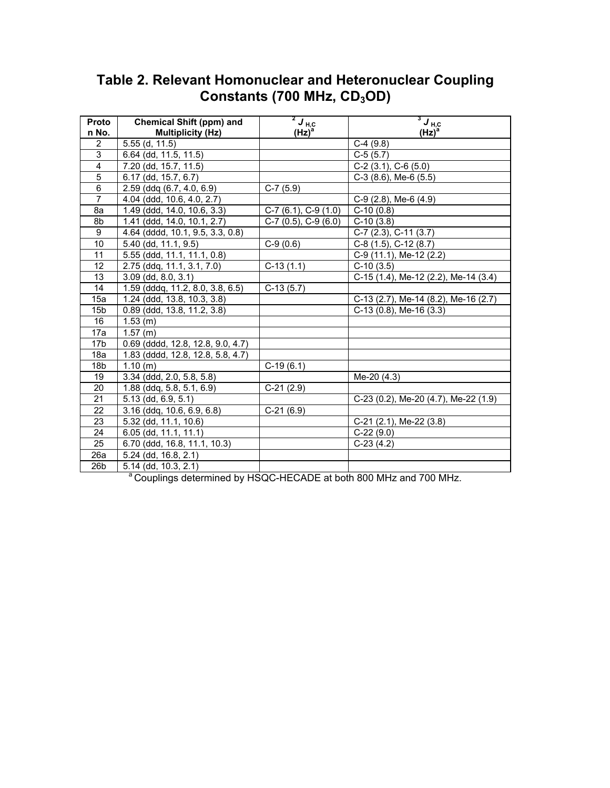| Proto           | <b>Chemical Shift (ppm) and</b>   | $2J_{\text{H,C}}$        | $3J_{\text{H},\text{C}}$             |
|-----------------|-----------------------------------|--------------------------|--------------------------------------|
| n No.           | <b>Multiplicity (Hz)</b>          | $(Hz)^a$                 | $(Hz)^a$                             |
| $\overline{2}$  | $5.55$ (d, 11.5)                  |                          | $C-4(9.8)$                           |
| 3               | 6.64 (dd, 11.5, 11.5)             |                          | $C-5(5.7)$                           |
| $\overline{4}$  | 7.20 (dd, 15.7, 11.5)             |                          | $C-2$ (3.1), $C-6$ (5.0)             |
| $\overline{5}$  | 6.17 (dd, 15.7, 6.7)              |                          | $C-3$ (8.6), Me-6 (5.5)              |
| $\overline{6}$  | $2.59$ (ddq $(6.7, 4.0, 6.9)$ )   | $C-7(5.9)$               |                                      |
| $\overline{7}$  | 4.04 (ddd, 10.6, 4.0, 2.7)        |                          | $C-9$ (2.8), Me-6 (4.9)              |
| 8a              | 1.49 (ddd, 14.0, 10.6, 3.3)       | $C-7$ (6.1), $C-9$ (1.0) | $C-10(0.8)$                          |
| 8b              | 1.41 (ddd, 14.0, 10.1, 2.7)       | $C-7$ (0.5), $C-9$ (6.0) | $C-10(3.8)$                          |
| 9               | 4.64 (dddd, 10.1, 9.5, 3.3, 0.8)  |                          | C-7 (2.3), C-11 (3.7)                |
| 10              | 5.40 (dd, 11.1, 9.5)              | $C-9(0.6)$               | C-8 (1.5), C-12 (8.7)                |
| 11              | 5.55 (ddd, 11.1, 11.1, 0.8)       |                          | C-9 (11.1), Me-12 (2.2)              |
| 12              | 2.75 (ddq, 11.1, 3.1, 7.0)        | $C-13(1.1)$              | $C-10(3.5)$                          |
| 13              | $3.09$ (dd, $8.0, 3.1$ )          |                          | C-15 (1.4), Me-12 (2.2), Me-14 (3.4) |
| 14              | 1.59 (dddg, 11.2, 8.0, 3.8, 6.5)  | $C-13(5.7)$              |                                      |
| 15a             | 1.24 (ddd, 13.8, 10.3, 3.8)       |                          | C-13 (2.7), Me-14 (8.2), Me-16 (2.7) |
| 15 <sub>b</sub> | 0.89 (ddd, 13.8, 11.2, 3.8)       |                          | $C-13$ (0.8), Me-16 (3.3)            |
| 16              | $1.53$ (m)                        |                          |                                      |
| 17a             | $1.57$ (m)                        |                          |                                      |
| 17 <sub>b</sub> | 0.69 (dddd, 12.8, 12.8, 9.0, 4.7) |                          |                                      |
| 18a             | 1.83 (dddd, 12.8, 12.8, 5.8, 4.7) |                          |                                      |
| 18 <sub>b</sub> | 1.10(m)                           | $C-19(6.1)$              |                                      |
| 19              | $3.34$ (ddd, $2.0, 5.8, 5.8$ )    |                          | Me-20 (4.3)                          |
| 20              | $1.88$ (ddq, 5.8, 5.1, 6.9)       | $C-21(2.9)$              |                                      |
| 21              | 5.13 (dd, 6.9, 5.1)               |                          | C-23 (0.2), Me-20 (4.7), Me-22 (1.9) |
| 22              | $3.16$ (ddg, $10.6, 6.9, 6.8$ )   | $C-21(6.9)$              |                                      |
| 23              | 5.32 (dd, 11.1, 10.6)             |                          | $C-21$ (2.1), Me-22 (3.8)            |
| 24              | 6.05 (dd, 11.1, 11.1)             |                          | $C-22(9.0)$                          |
| 25              | 6.70 (ddd, 16.8, 11.1, 10.3)      |                          | $C-23(4.2)$                          |
| 26a             | 5.24 (dd, 16.8, 2.1)              |                          |                                      |
| 26 <sub>b</sub> | $5.14$ (dd, $10.3, 2.1$ )         |                          |                                      |

# **Table 2. Relevant Homonuclear and Heteronuclear Coupling**  Constants (700 MHz, CD<sub>3</sub>OD)

<sup>a</sup> Couplings determined by HSQC-HECADE at both 800 MHz and 700 MHz.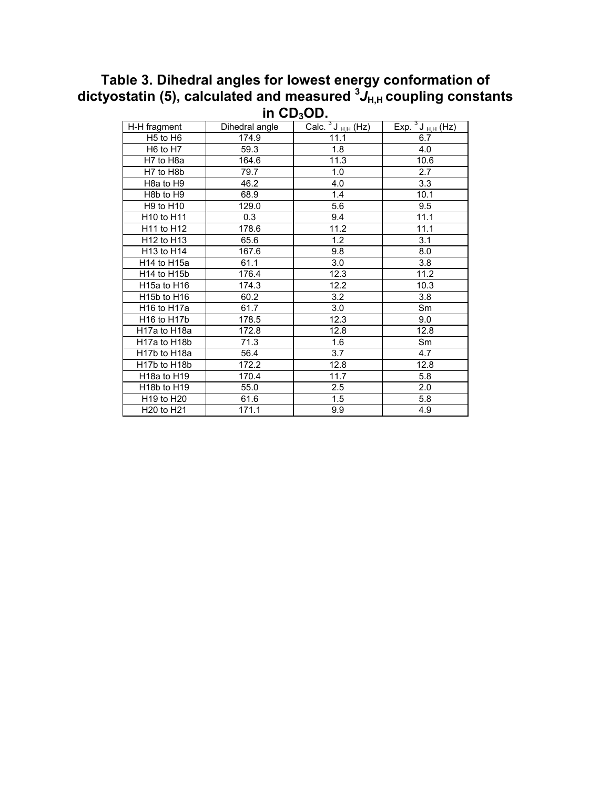# **Table 3. Dihedral angles for lowest energy conformation of**  dictyostatin (5), calculated and measured  ${}^{3}J_{\rm H,H}$  coupling constants **in CD3OD.**

|                                        |                | v.                    |                                                   |
|----------------------------------------|----------------|-----------------------|---------------------------------------------------|
| H-H fragment                           | Dihedral angle | Calc. $3J_{H,H}$ (Hz) | $\overline{Exp. \frac{3 \text{ J}_{H,H}(Hz)}{2}}$ |
| H <sub>5</sub> to H <sub>6</sub>       | 174.9          | 11.1                  | 6.7                                               |
| H6 to H7                               | 59.3           | 1.8                   | 4.0                                               |
| H7 to H8a                              | 164.6          | 11.3                  | 10.6                                              |
| H7 to H8b                              | 79.7           | 1.0                   | 2.7                                               |
| H <sub>8</sub> a to H <sub>9</sub>     | 46.2           | 4.0                   | 3.3                                               |
| H <sub>8</sub> b to H <sub>9</sub>     | 68.9           | 1.4                   | 10.1                                              |
| H9 to H10                              | 129.0          | 5.6                   | 9.5                                               |
| H10 to H11                             | 0.3            | 9.4                   | 11.1                                              |
| H11 to H12                             | 178.6          | 11.2                  | 11.1                                              |
| H12 to H13                             | 65.6           | 1.2                   | 3.1                                               |
| H13 to H14                             | 167.6          | 9.8                   | 8.0                                               |
| H14 to H15a                            | 61.1           | 3.0                   | 3.8                                               |
| H <sub>14</sub> to H <sub>15</sub> b   | 176.4          | 12.3                  | 11.2                                              |
| H15a to H16                            | 174.3          | 12.2                  | 10.3                                              |
| H15b to H16                            | 60.2           | 3.2                   | 3.8                                               |
| H <sub>16</sub> to H <sub>17a</sub>    | 61.7           | 3.0                   | Sm                                                |
| H <sub>16</sub> to H <sub>17</sub> b   | 178.5          | 12.3                  | 9.0                                               |
| H17a to H18a                           | 172.8          | 12.8                  | 12.8                                              |
| H17a to H18b                           | 71.3           | 1.6                   | Sm                                                |
| H <sub>17</sub> b to H <sub>18a</sub>  | 56.4           | 3.7                   | 4.7                                               |
| H <sub>17</sub> b to H <sub>18</sub> b | 172.2          | 12.8                  | 12.8                                              |
| H <sub>18</sub> a to H <sub>19</sub>   | 170.4          | 11.7                  | 5.8                                               |
| H <sub>18</sub> b to H <sub>19</sub>   | 55.0           | 2.5                   | 2.0                                               |
| H19 to H20                             | 61.6           | 1.5                   | 5.8                                               |
| H <sub>20</sub> to H <sub>21</sub>     | 171.1          | 9.9                   | 4.9                                               |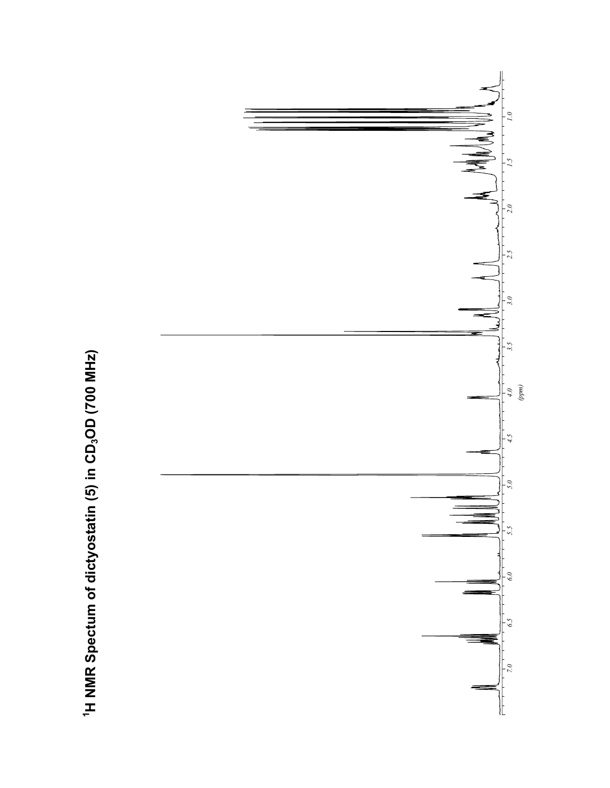

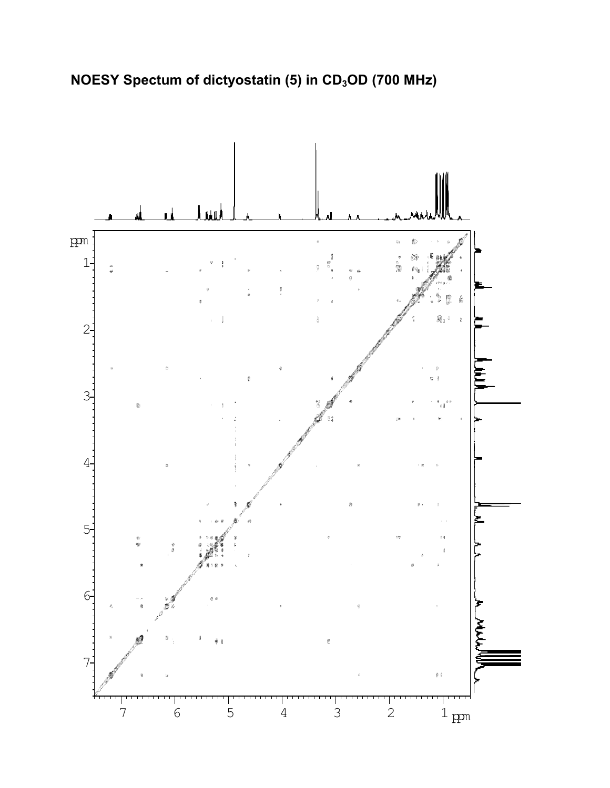

**NOESY Spectum of dictyostatin (5) in CD<sub>3</sub>OD (700 MHz)**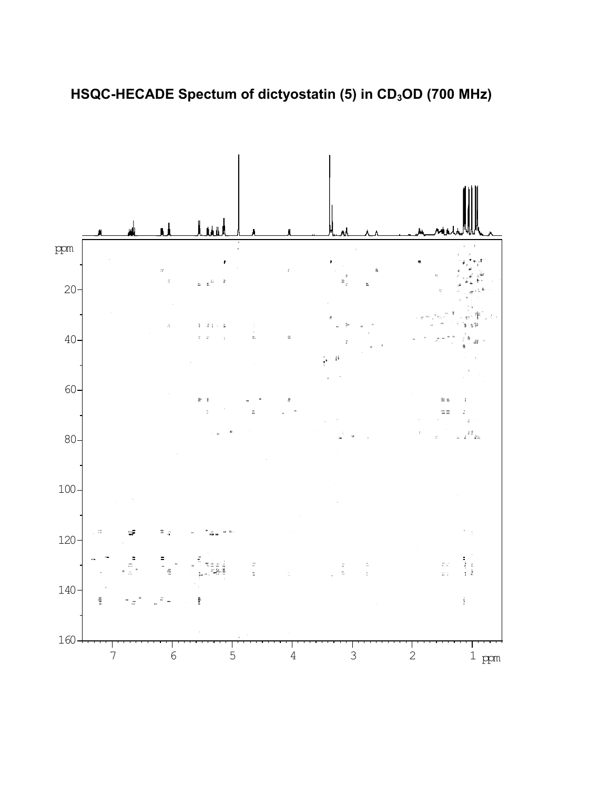

HSQC-HECADE Spectum of dictyostatin (5) in CD<sub>3</sub>OD (700 MHz)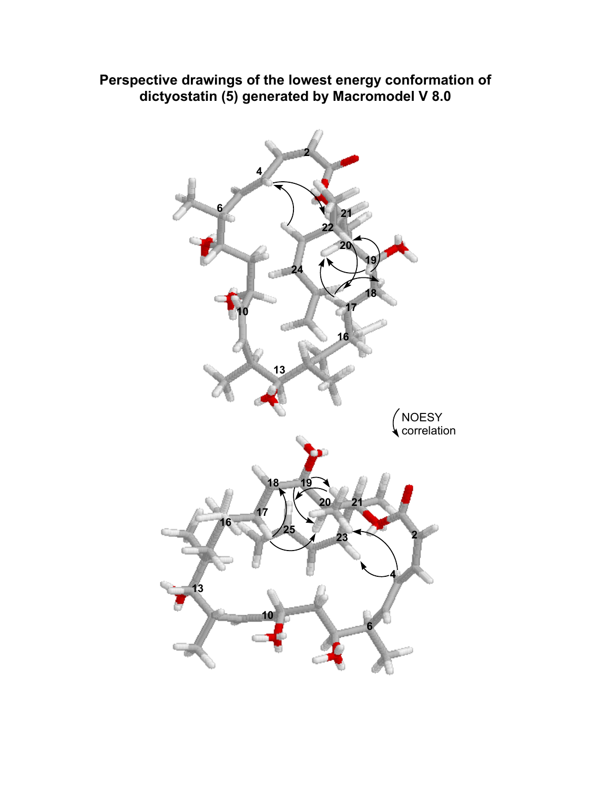### **Perspective drawings of the lowest energy conformation of dictyostatin (5) generated by Macromodel V 8.0**

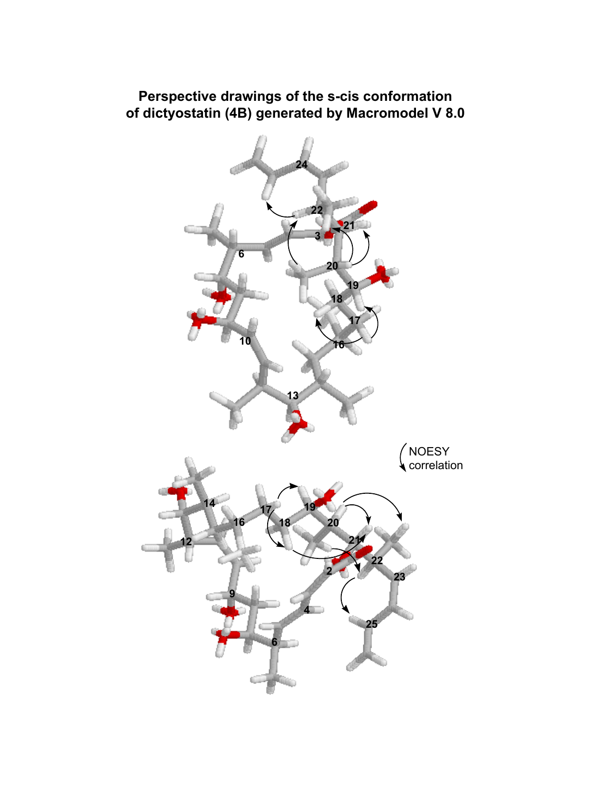### **Perspective drawings of the s-cis conformation of dictyostatin (4B) generated by Macromodel V 8.0**

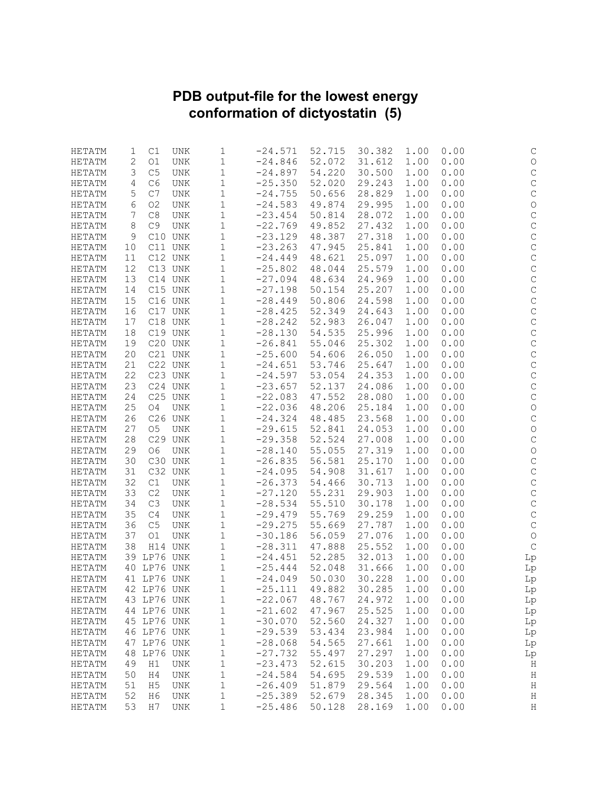#### **PDB output-file for the lowest energy conformation of dictyostatin (5)**

| HETATM | 1  | C1             | <b>UNK</b> | 1            | $-24.571$ | 52.715 | 30.382 | 1.00 | 0.00 | С                   |
|--------|----|----------------|------------|--------------|-----------|--------|--------|------|------|---------------------|
| HETATM | 2  | O1             | <b>UNK</b> | 1            | $-24.846$ | 52.072 | 31.612 | 1.00 | 0.00 | $\bigcirc$          |
| HETATM | 3  | C <sub>5</sub> | <b>UNK</b> | 1            | $-24.897$ | 54.220 | 30.500 | 1.00 | 0.00 | $\mathsf C$         |
| HETATM | 4  | C6             | UNK        | 1            | $-25.350$ | 52.020 | 29.243 | 1.00 | 0.00 | $\mathsf C$         |
| HETATM | 5  | $\rm C7$       | UNK        | $\mathbf 1$  | $-24.755$ | 50.656 | 28.829 | 1.00 | 0.00 | $\mathsf C$         |
| HETATM | 6  | O <sub>2</sub> | UNK        | 1            | $-24.583$ | 49.874 | 29.995 | 1.00 | 0.00 | $\circlearrowright$ |
| HETATM | 7  | C8             | <b>UNK</b> | 1            | $-23.454$ | 50.814 | 28.072 | 1.00 | 0.00 | $\mathsf C$         |
| HETATM | 8  | C <sub>9</sub> | UNK        | 1            | $-22.769$ | 49.852 | 27.432 | 1.00 | 0.00 | $\mathsf C$         |
| HETATM | 9  |                | C10 UNK    | 1            | $-23.129$ | 48.387 | 27.318 | 1.00 | 0.00 | $\mathsf C$         |
| HETATM | 10 |                | C11 UNK    | 1            | $-23.263$ | 47.945 | 25.841 | 1.00 | 0.00 | $\mathsf C$         |
| HETATM | 11 |                | C12 UNK    | 1            | $-24.449$ | 48.621 | 25.097 | 1.00 | 0.00 | $\mathsf C$         |
| HETATM | 12 |                | C13 UNK    | 1            | $-25.802$ | 48.044 | 25.579 | 1.00 | 0.00 | $\mathsf C$         |
| HETATM | 13 |                | C14 UNK    | 1            | $-27.094$ | 48.634 | 24.969 | 1.00 | 0.00 | $\mathsf C$         |
| HETATM |    |                | C15 UNK    |              | $-27.198$ |        |        |      |      | $\mathsf{C}$        |
|        | 14 |                |            | $\mathbf 1$  |           | 50.154 | 25.207 | 1.00 | 0.00 |                     |
| HETATM | 15 |                | C16 UNK    | 1            | $-28.449$ | 50.806 | 24.598 | 1.00 | 0.00 | $\mathsf C$         |
| HETATM | 16 |                | C17 UNK    | 1            | $-28.425$ | 52.349 | 24.643 | 1.00 | 0.00 | $\mathsf C$         |
| HETATM | 17 |                | C18 UNK    | 1            | $-28.242$ | 52.983 | 26.047 | 1.00 | 0.00 | $\mathsf C$         |
| HETATM | 18 |                | C19 UNK    | 1            | $-28.130$ | 54.535 | 25.996 | 1.00 | 0.00 | $\mathsf C$         |
| HETATM | 19 |                | C20 UNK    | $1\,$        | $-26.841$ | 55.046 | 25.302 | 1.00 | 0.00 | $\mathsf C$         |
| HETATM | 20 |                | C21 UNK    | 1            | $-25.600$ | 54.606 | 26.050 | 1.00 | 0.00 | $\mathsf C$         |
| HETATM | 21 |                | C22 UNK    | 1            | $-24.651$ | 53.746 | 25.647 | 1.00 | 0.00 | $\mathsf C$         |
| HETATM | 22 |                | C23 UNK    | 1            | $-24.597$ | 53.054 | 24.353 | 1.00 | 0.00 | $\mathsf C$         |
| HETATM | 23 |                | C24 UNK    | 1            | $-23.657$ | 52.137 | 24.086 | 1.00 | 0.00 | $\mathsf C$         |
| HETATM | 24 |                | C25 UNK    | $1\,$        | $-22.083$ | 47.552 | 28.080 | 1.00 | 0.00 | $\mathsf C$         |
| HETATM | 25 | O <sub>4</sub> | UNK        | 1            | $-22.036$ | 48.206 | 25.184 | 1.00 | 0.00 | $\circlearrowright$ |
| HETATM | 26 |                | C26 UNK    | 1            | $-24.324$ | 48.485 | 23.568 | 1.00 | 0.00 | $\mathsf C$         |
| HETATM | 27 | O <sub>5</sub> | UNK        | 1            | $-29.615$ | 52.841 | 24.053 | 1.00 | 0.00 | $\circ$             |
| HETATM | 28 |                | C29 UNK    | 1            | $-29.358$ | 52.524 | 27.008 | 1.00 | 0.00 | $\mathsf C$         |
| HETATM | 29 | 06             | UNK        | 1            | $-28.140$ | 55.055 | 27.319 | 1.00 | 0.00 | $\bigcirc$          |
| HETATM | 30 |                | C30 UNK    | $\mathbf 1$  | $-26.835$ | 56.581 | 25.170 | 1.00 | 0.00 | $\mathsf C$         |
| HETATM | 31 |                | C32 UNK    | 1            | $-24.095$ | 54.908 | 31.617 | 1.00 | 0.00 | $\mathsf C$         |
| HETATM | 32 | C1             | UNK        | 1            | $-26.373$ | 54.466 | 30.713 | 1.00 | 0.00 | $\mathsf C$         |
| HETATM | 33 | C2             | UNK        | $\mathbf 1$  | $-27.120$ | 55.231 | 29.903 | 1.00 | 0.00 | $\mathsf{C}$        |
| HETATM | 34 | C3             | UNK        | 1            | $-28.534$ | 55.510 | 30.178 | 1.00 | 0.00 | $\mathsf C$         |
| HETATM | 35 | C <sub>4</sub> | UNK        | 1            | $-29.479$ | 55.769 | 29.259 | 1.00 | 0.00 | $\mathsf C$         |
| HETATM | 36 | $\mathbb{C}5$  | UNK        | 1            | $-29.275$ | 55.669 | 27.787 | 1.00 | 0.00 | $\mathsf C$         |
| HETATM | 37 | O <sub>1</sub> | UNK        | 1            | $-30.186$ | 56.059 | 27.076 | 1.00 | 0.00 | $\circlearrowright$ |
| HETATM | 38 |                | H14 UNK    | $1\,$        | $-28.311$ | 47.888 | 25.552 | 1.00 | 0.00 | $\mathsf C$         |
| HETATM |    | 39 LP76 UNK    |            | 1            | $-24.451$ | 52.285 | 32.013 | 1.00 | 0.00 | Lp                  |
| HETATM |    | 40 LP76 UNK    |            | 1            | $-25.444$ | 52.048 | 31.666 | 1.00 | 0.00 |                     |
| HETATM | 41 | LP76 UNK       |            | 1            | $-24.049$ | 50.030 | 30.228 | 1.00 | 0.00 | Lp                  |
|        |    | 42 LP76 UNK    |            |              |           |        | 30.285 |      |      | Lp                  |
| HETATM |    |                |            | 1            | $-25.111$ | 49.882 |        | 1.00 | 0.00 | Lp                  |
| HETATM |    | 43 LP76 UNK    |            | $1\,$        | $-22.067$ | 48.767 | 24.972 | 1.00 | 0.00 | Lp                  |
| HETATM |    | 44 LP76 UNK    |            | $\mathbf 1$  | $-21.602$ | 47.967 | 25.525 | 1.00 | 0.00 | Lp                  |
| HETATM |    | 45 LP76 UNK    |            | $\mathbf{1}$ | $-30.070$ | 52.560 | 24.327 | 1.00 | 0.00 | Lp                  |
| HETATM |    | 46 LP76 UNK    |            | 1            | $-29.539$ | 53.434 | 23.984 | 1.00 | 0.00 | Lp                  |
| HETATM | 47 | LP76 UNK       |            | $1\,$        | $-28.068$ | 54.565 | 27.661 | 1.00 | 0.00 | Lp                  |
| HETATM | 48 | LP76 UNK       |            | 1            | $-27.732$ | 55.497 | 27.297 | 1.00 | 0.00 | Lp                  |
| HETATM | 49 | H1             | UNK        | $\mathbf 1$  | $-23.473$ | 52.615 | 30.203 | 1.00 | 0.00 | Η                   |
| HETATM | 50 | H4             | UNK        | $\mathbf 1$  | $-24.584$ | 54.695 | 29.539 | 1.00 | 0.00 | Η                   |
| HETATM | 51 | H <sub>5</sub> | UNK        | 1            | $-26.409$ | 51.879 | 29.564 | 1.00 | 0.00 | Η                   |
| HETATM | 52 | H6             | UNK        | $\mathbf{1}$ | $-25.389$ | 52.679 | 28.345 | 1.00 | 0.00 | $\rm H$             |
| HETATM | 53 | H7             | UNK        | 1            | $-25.486$ | 50.128 | 28.169 | 1.00 | 0.00 | Η                   |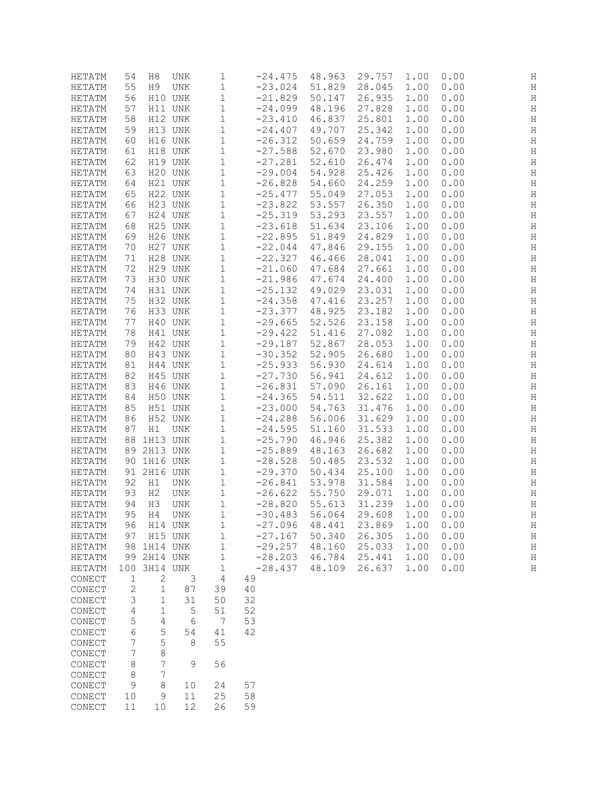| HETATM        | 54             | H8             | UNK     | 1           | $-24.475$ | 48.963 | 29.757 | 1.00 | 0.00 | Η       |
|---------------|----------------|----------------|---------|-------------|-----------|--------|--------|------|------|---------|
| HETATM        | 55             | H9             | UNK     | 1           | $-23.024$ | 51.829 | 28.045 | 1.00 | 0.00 | Η       |
| HETATM        | 56             |                | H10 UNK | 1           | $-21.829$ | 50.147 | 26.935 | 1.00 | 0.00 | Η       |
| HETATM        | 57             |                | H11 UNK | 1           | $-24.099$ | 48.196 | 27.828 | 1.00 | 0.00 | Η       |
|               |                |                |         |             |           |        |        |      |      |         |
| HETATM        | 58             |                | H12 UNK | 1           | $-23.410$ | 46.837 | 25.801 | 1.00 | 0.00 | Η       |
| HETATM        | 59             |                | H13 UNK | 1           | $-24.407$ | 49.707 | 25.342 | 1.00 | 0.00 | Η       |
| HETATM        | 60             |                | H16 UNK | 1           | $-26.312$ | 50.659 | 24.759 | 1.00 | 0.00 | Η       |
| HETATM        | 61             |                | H18 UNK | 1           | $-27.588$ | 52.670 | 23.980 | 1.00 | 0.00 | H       |
| HETATM        | 62             |                | H19 UNK | 1           | $-27.281$ | 52.610 | 26.474 | 1.00 | 0.00 | Н       |
| HETATM        | 63             |                | H20 UNK | $\mathbf 1$ | $-29.004$ | 54.928 | 25.426 | 1.00 | 0.00 | Η       |
| HETATM        | 64             |                | H21 UNK | $\mathbf 1$ | $-26.828$ | 54.660 | 24.259 | 1.00 | 0.00 | $\rm H$ |
| HETATM        | 65             |                | H22 UNK | 1           | $-25.477$ | 55.049 | 27.053 | 1.00 | 0.00 | H       |
| HETATM        | 66             |                | H23 UNK | 1           | $-23.822$ | 53.557 | 26.350 | 1.00 | 0.00 | H       |
|               |                |                |         |             |           |        |        |      |      |         |
| HETATM        | 67             |                | H24 UNK | 1           | $-25.319$ | 53.293 | 23.557 | 1.00 | 0.00 | Η       |
| HETATM        | 68             |                | H25 UNK | $\mathbf 1$ | $-23.618$ | 51.634 | 23.106 | 1.00 | 0.00 | Η       |
| HETATM        | 69             |                | H26 UNK | $\mathbf 1$ | $-22.895$ | 51.849 | 24.829 | 1.00 | 0.00 | Η       |
| HETATM        | 70             |                | H27 UNK | 1           | $-22.044$ | 47.846 | 29.155 | 1.00 | 0.00 | Η       |
| HETATM        | 71             |                | H28 UNK | 1           | $-22.327$ | 46.466 | 28.041 | 1.00 | 0.00 | Η       |
| HETATM        | 72             |                | H29 UNK | 1           | $-21.060$ | 47.684 | 27.661 | 1.00 | 0.00 | Η       |
| HETATM        | 73             |                | H30 UNK | $1\,$       | $-21.986$ | 47.674 | 24.400 | 1.00 | 0.00 | Η       |
| HETATM        | 74             |                | H31 UNK | $\mathbf 1$ | $-25.132$ | 49.029 | 23.031 | 1.00 | 0.00 | Η       |
|               |                |                | H32 UNK |             |           |        |        | 1.00 |      |         |
| HETATM        | 75             |                |         | 1           | $-24.358$ | 47.416 | 23.257 |      | 0.00 | Η       |
| HETATM        | 76             |                | H33 UNK | 1           | $-23.377$ | 48.925 | 23.182 | 1.00 | 0.00 | Η       |
| HETATM        | 77             |                | H40 UNK | 1           | $-29.665$ | 52.526 | 23.158 | 1.00 | 0.00 | Η       |
| HETATM        | 78             |                | H41 UNK | $\mathbf 1$ | $-29.422$ | 51.416 | 27.082 | 1.00 | 0.00 | Η       |
| HETATM        | 79             |                | H42 UNK | 1           | $-29.187$ | 52.867 | 28.053 | 1.00 | 0.00 | Η       |
| HETATM        | 80             |                | H43 UNK | 1           | $-30.352$ | 52.905 | 26.680 | 1.00 | 0.00 | H       |
| HETATM        | 81             |                | H44 UNK | 1           | $-25.933$ | 56.930 | 24.614 | 1.00 | 0.00 | Η       |
| HETATM        | 82             |                | H45 UNK | $\mathbf 1$ | $-27.730$ | 56.941 | 24.612 | 1.00 | 0.00 | Η       |
| HETATM        | 83             |                | H46 UNK | $\mathbf 1$ | $-26.831$ | 57.090 | 26.161 | 1.00 | 0.00 | Η       |
| HETATM        | 84             |                | H50 UNK |             | $-24.365$ | 54.511 | 32.622 | 1.00 | 0.00 | Η       |
|               |                |                |         | 1           |           |        |        |      |      |         |
| HETATM        | 85             |                | H51 UNK | 1           | $-23.000$ | 54.763 | 31.476 | 1.00 | 0.00 | Η       |
| HETATM        | 86             |                | H52 UNK | 1           | $-24.288$ | 56.006 | 31.629 | 1.00 | 0.00 | Η       |
| HETATM        | 87             | H1             | UNK     | 1           | $-24.595$ | 51.160 | 31.533 | 1.00 | 0.00 | Η       |
| HETATM        | 88             | 1H13 UNK       |         | $\mathbf 1$ | $-25.790$ | 46.946 | 25.382 | 1.00 | 0.00 | Η       |
| HETATM        | 89             | 2H13 UNK       |         | 1           | $-25.889$ | 48.163 | 26.682 | 1.00 | 0.00 | Η       |
| HETATM        | 90             | 1H16 UNK       |         | 1           | $-28.528$ | 50.485 | 23.532 | 1.00 | 0.00 | Η       |
| HETATM        | 91             | 2H16 UNK       |         | 1           | $-29.370$ | 50.434 | 25.100 | 1.00 | 0.00 | Η       |
| HETATM        | 92             | H1             | UNK     | $\mathbf 1$ | $-26.841$ | 53.978 | 31.584 | 1.00 | 0.00 | Н       |
| HETATM        | 93             | H <sub>2</sub> | UNK     | 1           | $-26.622$ | 55.750 | 29.071 | 1.00 | 0.00 | Η       |
| HETATM        | 94             | H3             | UNK     | 1           | $-28.820$ | 55.613 | 31.239 | 1.00 | 0.00 | Η       |
|               |                |                |         |             |           |        |        |      |      |         |
| HETATM        | 95             | H4             | UNK     | 1           | $-30.483$ | 56.064 | 29.608 | 1.00 | 0.00 | Η       |
| HETATM        | 96             |                | H14 UNK | $1\,$       | $-27.096$ | 48.441 | 23.869 | 1.00 | 0.00 | Η       |
| HETATM        | 97             |                | H15 UNK | $1\,$       | $-27.167$ | 50.340 | 26.305 | 1.00 | 0.00 | H       |
| HETATM        | 98             | 1H14 UNK       |         | 1           | $-29.257$ | 48.160 | 25.033 | 1.00 | 0.00 | Η       |
| HETATM        | 99             | 2H14 UNK       |         | $\mathbf 1$ | $-28.203$ | 46.784 | 25.441 | 1.00 | 0.00 | $\rm H$ |
| <b>HETATM</b> | 100            | 3H14 UNK       |         | $\mathbf 1$ | $-28.437$ | 48.109 | 26.637 | 1.00 | 0.00 | Η       |
| CONECT        | 1              | 2              | 3       | $\sqrt{4}$  | 49        |        |        |      |      |         |
| CONECT        | $\overline{c}$ | 1              | 87      | 39          | 40        |        |        |      |      |         |
| CONECT        | 3              | 1              | 31      | 50          | 32        |        |        |      |      |         |
| CONECT        | 4              | 1              | 5       | 51          | 52        |        |        |      |      |         |
|               |                | 4              | 6       | 7           | 53        |        |        |      |      |         |
| CONECT        | 5              |                |         |             |           |        |        |      |      |         |
| CONECT        | 6              | 5              | 54      | 41          | 42        |        |        |      |      |         |
| CONECT        | 7              | 5              | 8       | 55          |           |        |        |      |      |         |
| CONECT        | 7              | $\,8\,$        |         |             |           |        |        |      |      |         |
| CONECT        | 8              | 7              | 9       | 56          |           |        |        |      |      |         |
| CONECT        | 8              | 7              |         |             |           |        |        |      |      |         |
| CONECT        | $\mathsf 9$    | $\,8\,$        | 10      | 24          | 57        |        |        |      |      |         |
| CONECT        | 10             | 9              | 11      | $25$        | 58        |        |        |      |      |         |
| CONECT        | 11             | 10             | 12      | 26          | 59        |        |        |      |      |         |
|               |                |                |         |             |           |        |        |      |      |         |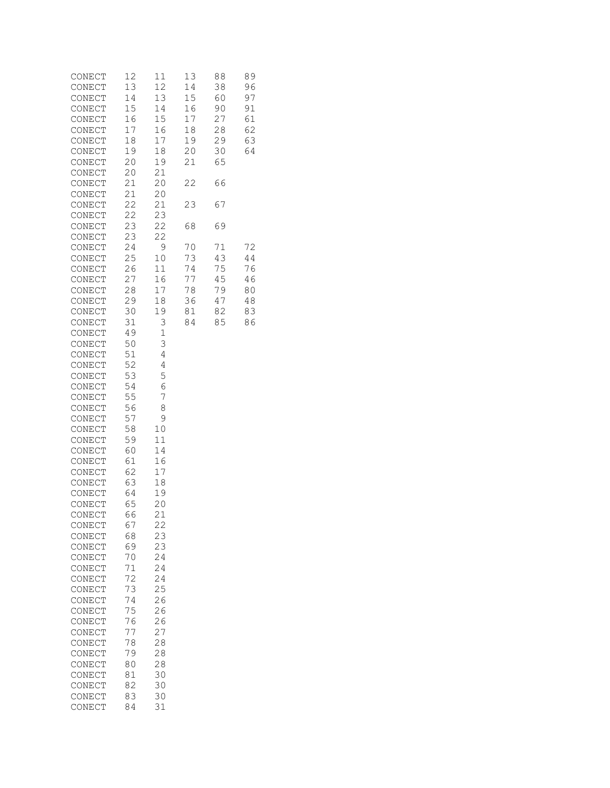| CONECT | 12 | 11          | 13 | 88 | 89 |
|--------|----|-------------|----|----|----|
| CONECT | 13 | 12          | 14 | 38 | 96 |
| CONECT | 14 | 13          | 15 | 60 | 97 |
| CONECT | 15 | 14          | 16 | 90 | 91 |
| CONECT | 16 | 15          | 17 | 27 | 61 |
| CONECT | 17 | 16          | 18 | 28 | 62 |
| CONECT | 18 | 17          | 19 | 29 | 63 |
| CONECT | 19 | 18          | 20 | 30 | 64 |
| CONECT | 20 | 19          | 21 | 65 |    |
| CONECT | 20 | 21          |    |    |    |
| CONECT | 21 | 20          | 22 | 66 |    |
| CONECT | 21 | 20          |    |    |    |
| CONECT | 22 | 21          | 23 | 67 |    |
| CONECT | 22 | 23          |    |    |    |
| CONECT | 23 | 22          | 68 | 69 |    |
| CONECT | 23 | 22          |    |    |    |
| CONECT | 24 | 9           | 70 | 71 | 72 |
| CONECT | 25 | 10          | 73 | 43 | 44 |
| CONECT | 26 | 11          | 74 | 75 | 76 |
| CONECT | 27 | 16          | 77 | 45 | 46 |
| CONECT | 28 | 17          | 78 | 79 | 80 |
| CONECT | 29 | 18          | 36 | 47 | 48 |
| CONECT | 30 | 19          | 81 | 82 | 83 |
| CONECT | 31 | 3           | 84 | 85 | 86 |
| CONECT | 49 | $\mathbf 1$ |    |    |    |
| CONECT | 50 | 3           |    |    |    |
| CONECT | 51 | 4           |    |    |    |
| CONECT | 52 | 4           |    |    |    |
| CONECT | 53 | 5           |    |    |    |
| CONECT | 54 | 6           |    |    |    |
| CONECT | 55 | 7           |    |    |    |
| CONECT | 56 | 8           |    |    |    |
| CONECT | 57 | 9           |    |    |    |
| CONECT | 58 | 10          |    |    |    |
| CONECT | 59 | 11          |    |    |    |
| CONECT | 60 | 14          |    |    |    |
| CONECT | 61 | 16          |    |    |    |
| CONECT | 62 | 17          |    |    |    |
| CONECT | 63 | 18          |    |    |    |
| CONECT | 64 | 19          |    |    |    |
| CONECT | 65 | 20          |    |    |    |
| CONECT | 66 | 21          |    |    |    |
| CONECT | 67 | 22          |    |    |    |
| CONECT | 68 | 23          |    |    |    |
| CONECT | 69 | 23          |    |    |    |
| CONECT | 70 | 24          |    |    |    |
| CONECT | 71 | 24          |    |    |    |
| CONECT | 72 | 24          |    |    |    |
| CONECT | 73 | 25          |    |    |    |
| CONECT | 74 | 26          |    |    |    |
| CONECT | 75 | 26          |    |    |    |
| CONECT | 76 | 26          |    |    |    |
| CONECT | 77 | 27          |    |    |    |
| CONECT | 78 | 28          |    |    |    |
| CONECT | 79 | 28          |    |    |    |
| CONECT | 80 | 28          |    |    |    |
| CONECT | 81 | 30          |    |    |    |
| CONECT | 82 | 30          |    |    |    |
| CONECT | 83 | 30          |    |    |    |
|        | 84 | 31          |    |    |    |
| CONECT |    |             |    |    |    |